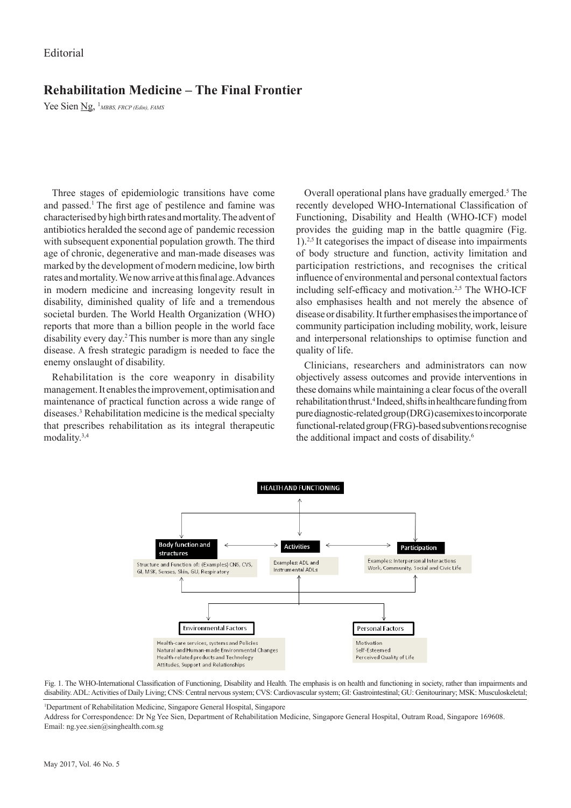## **Rehabilitation Medicine – The Final Frontier**

Yee Sien **Ng**, <sup>1</sup> MBBS, FRCP (Edin), FAMS

Three stages of epidemiologic transitions have come and passed.1 The first age of pestilence and famine was characterised by high birth rates and mortality. The advent of antibiotics heralded the second age of pandemic recession with subsequent exponential population growth. The third age of chronic, degenerative and man-made diseases was marked by the development of modern medicine, low birth rates and mortality. We now arrive at this final age. Advances in modern medicine and increasing longevity result in disability, diminished quality of life and a tremendous societal burden. The World Health Organization (WHO) reports that more than a billion people in the world face disability every day.2 This number is more than any single disease. A fresh strategic paradigm is needed to face the enemy onslaught of disability.

Rehabilitation is the core weaponry in disability management. It enables the improvement, optimisation and maintenance of practical function across a wide range of diseases.<sup>3</sup> Rehabilitation medicine is the medical specialty that prescribes rehabilitation as its integral therapeutic modality.3,4

Overall operational plans have gradually emerged.<sup>5</sup> The recently developed WHO-International Classification of Functioning, Disability and Health (WHO-ICF) model provides the guiding map in the battle quagmire (Fig. 1).2,5 It categorises the impact of disease into impairments of body structure and function, activity limitation and participation restrictions, and recognises the critical influence of environmental and personal contextual factors including self-efficacy and motivation.2,5 The WHO-ICF also emphasises health and not merely the absence of disease or disability. It further emphasises the importance of community participation including mobility, work, leisure and interpersonal relationships to optimise function and quality of life.

Clinicians, researchers and administrators can now objectively assess outcomes and provide interventions in these domains while maintaining a clear focus of the overall rehabilitation thrust.<sup>4</sup> Indeed, shifts in healthcare funding from pure diagnostic-related group (DRG) casemixes to incorporate functional-related group (FRG)-based subventions recognise the additional impact and costs of disability.<sup>6</sup>



Fig. 1. The WHO-International Classification of Functioning, Disability and Health. The emphasis is on health and functioning in society, rather than impairments and disability. ADL: Activities of Daily Living; CNS: Central nervous system; CVS: Cardiovascular system; GI: Gastrointestinal; GU: Genitourinary; MSK: Musculoskeletal;

1 Department of Rehabilitation Medicine, Singapore General Hospital, Singapore

Address for Correspondence: Dr Ng Yee Sien, Department of Rehabilitation Medicine, Singapore General Hospital, Outram Road, Singapore 169608. Email: ng.yee.sien@singhealth.com.sg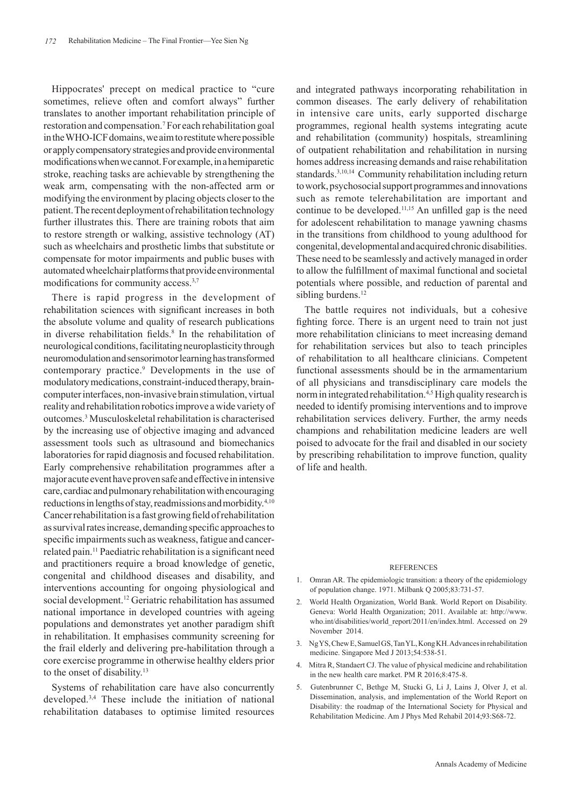Hippocrates' precept on medical practice to "cure sometimes, relieve often and comfort always" further translates to another important rehabilitation principle of restoration and compensation.7 For each rehabilitation goal in the WHO-ICF domains, we aim to restitute where possible or apply compensatory strategies and provide environmental modifications when we cannot. For example, in a hemiparetic stroke, reaching tasks are achievable by strengthening the weak arm, compensating with the non-affected arm or modifying the environment by placing objects closer to the patient. The recent deployment of rehabilitation technology further illustrates this. There are training robots that aim to restore strength or walking, assistive technology (AT) such as wheelchairs and prosthetic limbs that substitute or compensate for motor impairments and public buses with automated wheelchair platforms that provide environmental modifications for community access.<sup>3,7</sup>

There is rapid progress in the development of rehabilitation sciences with significant increases in both the absolute volume and quality of research publications in diverse rehabilitation fields.<sup>8</sup> In the rehabilitation of neurological conditions, facilitating neuroplasticity through neuromodulation and sensorimotor learning has transformed contemporary practice.<sup>9</sup> Developments in the use of modulatory medications, constraint-induced therapy, braincomputer interfaces, non-invasive brain stimulation, virtual reality and rehabilitation robotics improve a wide variety of outcomes.<sup>3</sup> Musculoskeletal rehabilitation is characterised by the increasing use of objective imaging and advanced assessment tools such as ultrasound and biomechanics laboratories for rapid diagnosis and focused rehabilitation. Early comprehensive rehabilitation programmes after a major acute event have proven safe and effective in intensive care, cardiac and pulmonary rehabilitation with encouraging reductions in lengths of stay, readmissions and morbidity.4,10 Cancer rehabilitation is a fast growing field of rehabilitation as survival rates increase, demanding specific approaches to specific impairments such as weakness, fatigue and cancerrelated pain.11 Paediatric rehabilitation is a significant need and practitioners require a broad knowledge of genetic, congenital and childhood diseases and disability, and interventions accounting for ongoing physiological and social development.<sup>12</sup> Geriatric rehabilitation has assumed national importance in developed countries with ageing populations and demonstrates yet another paradigm shift in rehabilitation. It emphasises community screening for the frail elderly and delivering pre-habilitation through a core exercise programme in otherwise healthy elders prior to the onset of disability.<sup>13</sup>

Systems of rehabilitation care have also concurrently developed.3,4 These include the initiation of national rehabilitation databases to optimise limited resources

and integrated pathways incorporating rehabilitation in common diseases. The early delivery of rehabilitation in intensive care units, early supported discharge programmes, regional health systems integrating acute and rehabilitation (community) hospitals, streamlining of outpatient rehabilitation and rehabilitation in nursing homes address increasing demands and raise rehabilitation standards.3,10,14 Community rehabilitation including return to work, psychosocial support programmes and innovations such as remote telerehabilitation are important and continue to be developed.11,15 An unfilled gap is the need for adolescent rehabilitation to manage yawning chasms in the transitions from childhood to young adulthood for congenital, developmental and acquired chronic disabilities. These need to be seamlessly and actively managed in order to allow the fulfillment of maximal functional and societal potentials where possible, and reduction of parental and sibling burdens.<sup>12</sup>

The battle requires not individuals, but a cohesive fighting force. There is an urgent need to train not just more rehabilitation clinicians to meet increasing demand for rehabilitation services but also to teach principles of rehabilitation to all healthcare clinicians. Competent functional assessments should be in the armamentarium of all physicians and transdisciplinary care models the norm in integrated rehabilitation.<sup>4,5</sup> High quality research is needed to identify promising interventions and to improve rehabilitation services delivery. Further, the army needs champions and rehabilitation medicine leaders are well poised to advocate for the frail and disabled in our society by prescribing rehabilitation to improve function, quality of life and health.

## REFERENCES

- 1. Omran AR. The epidemiologic transition: a theory of the epidemiology of population change. 1971. Milbank Q 2005;83:731-57.
- 2. World Health Organization, World Bank. World Report on Disability. Geneva: World Health Organization; 2011. Available at: http://www. who.int/disabilities/world\_report/2011/en/index.html. Accessed on 29 November 2014.
- 3. Ng YS, Chew E, Samuel GS, Tan YL, Kong KH. Advances in rehabilitation medicine. Singapore Med J 2013;54:538-51.
- Mitra R, Standaert CJ. The value of physical medicine and rehabilitation in the new health care market. PM R 2016;8:475-8.
- 5. Gutenbrunner C, Bethge M, Stucki G, Li J, Lains J, Olver J, et al. Dissemination, analysis, and implementation of the World Report on Disability: the roadmap of the International Society for Physical and Rehabilitation Medicine. Am J Phys Med Rehabil 2014;93:S68-72.